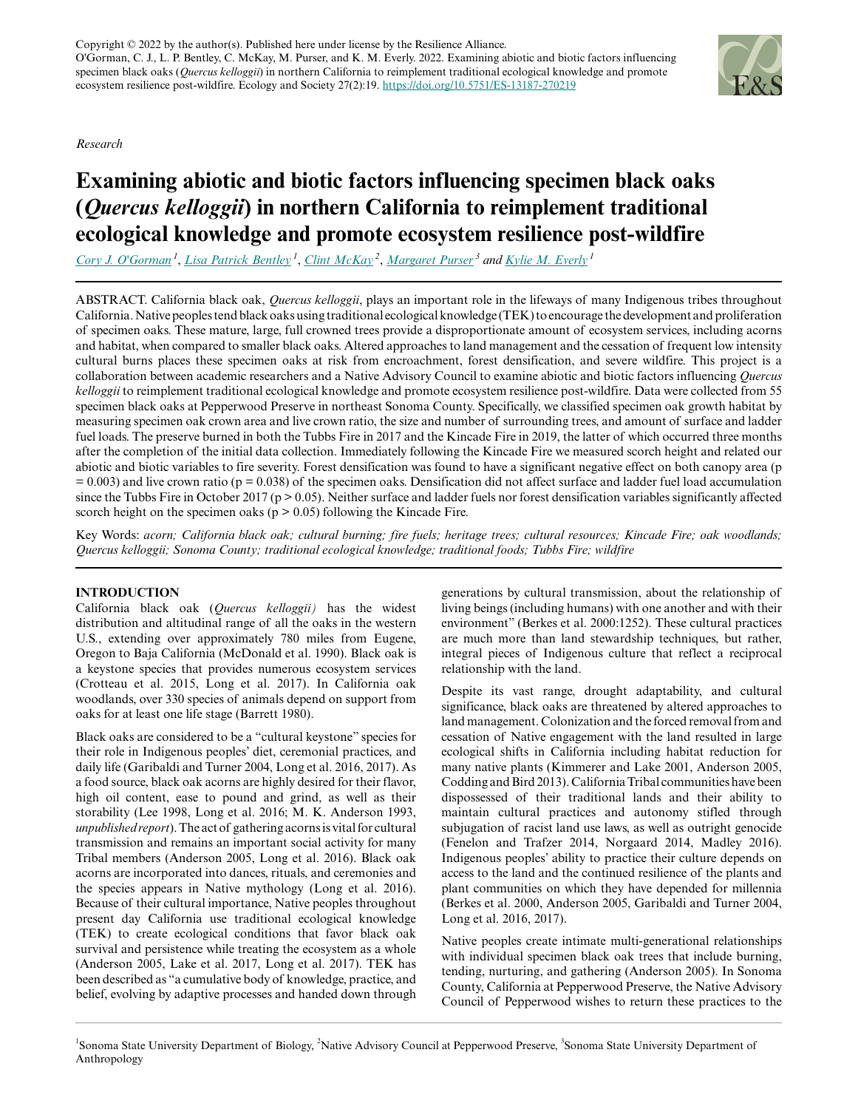*Research*

# **Examining abiotic and biotic factors influencing specimen black oaks (***Quercus kelloggii***) in northern California to reimplement traditional ecological knowledge and promote ecosystem resilience post-wildfire**

*[Cory J. O'Gorman](mailto:ogormancory@gmail.com)<sup>1</sup>* , *[Lisa Patrick Bentley](mailto:lisa.bentley@sonoma.edu)<sup>1</sup>* , *[Clint McKay](mailto:cmckay@pepperwoodpreserve.org)<sup>2</sup>* , *[Margaret Purser](mailto:purser@sonoma.edu)<sup>3</sup> and [Kylie M. Everly](mailto:everlykylie@gmail.com)<sup>1</sup>*

ABSTRACT. California black oak, *Quercus kelloggii*, plays an important role in the lifeways of many Indigenous tribes throughout California. Native peoples tend black oaks using traditional ecological knowledge (TEK) to encourage the development and proliferation of specimen oaks. These mature, large, full crowned trees provide a disproportionate amount of ecosystem services, including acorns and habitat, when compared to smaller black oaks. Altered approaches to land management and the cessation of frequent low intensity cultural burns places these specimen oaks at risk from encroachment, forest densification, and severe wildfire. This project is a collaboration between academic researchers and a Native Advisory Council to examine abiotic and biotic factors influencing *Quercus kelloggii* to reimplement traditional ecological knowledge and promote ecosystem resilience post-wildfire. Data were collected from 55 specimen black oaks at Pepperwood Preserve in northeast Sonoma County. Specifically, we classified specimen oak growth habitat by measuring specimen oak crown area and live crown ratio, the size and number of surrounding trees, and amount of surface and ladder fuel loads. The preserve burned in both the Tubbs Fire in 2017 and the Kincade Fire in 2019, the latter of which occurred three months after the completion of the initial data collection. Immediately following the Kincade Fire we measured scorch height and related our abiotic and biotic variables to fire severity. Forest densification was found to have a significant negative effect on both canopy area (p  $= 0.003$ ) and live crown ratio (p = 0.038) of the specimen oaks. Densification did not affect surface and ladder fuel load accumulation since the Tubbs Fire in October 2017 ( $p > 0.05$ ). Neither surface and ladder fuels nor forest densification variables significantly affected scorch height on the specimen oaks ( $p > 0.05$ ) following the Kincade Fire.

Key Words: *acorn; California black oak; cultural burning; fire fuels; heritage trees; cultural resources; Kincade Fire; oak woodlands; Quercus kelloggii; Sonoma County; traditional ecological knowledge; traditional foods; Tubbs Fire; wildfire*

# **INTRODUCTION**

California black oak (*Quercus kelloggii)* has the widest distribution and altitudinal range of all the oaks in the western U.S., extending over approximately 780 miles from Eugene, Oregon to Baja California (McDonald et al. 1990). Black oak is a keystone species that provides numerous ecosystem services (Crotteau et al. 2015, Long et al. 2017). In California oak woodlands, over 330 species of animals depend on support from oaks for at least one life stage (Barrett 1980).

Black oaks are considered to be a "cultural keystone" species for their role in Indigenous peoples' diet, ceremonial practices, and daily life (Garibaldi and Turner 2004, Long et al. 2016, 2017). As a food source, black oak acorns are highly desired for their flavor, high oil content, ease to pound and grind, as well as their storability (Lee 1998, Long et al. 2016; M. K. Anderson 1993, *unpublished report*). The act of gathering acorns is vital for cultural transmission and remains an important social activity for many Tribal members (Anderson 2005, Long et al. 2016). Black oak acorns are incorporated into dances, rituals, and ceremonies and the species appears in Native mythology (Long et al. 2016). Because of their cultural importance, Native peoples throughout present day California use traditional ecological knowledge (TEK) to create ecological conditions that favor black oak survival and persistence while treating the ecosystem as a whole (Anderson 2005, Lake et al. 2017, Long et al. 2017). TEK has been described as "a cumulative body of knowledge, practice, and belief, evolving by adaptive processes and handed down through generations by cultural transmission, about the relationship of living beings (including humans) with one another and with their environment" (Berkes et al. 2000:1252). These cultural practices are much more than land stewardship techniques, but rather, integral pieces of Indigenous culture that reflect a reciprocal relationship with the land.

Despite its vast range, drought adaptability, and cultural significance, black oaks are threatened by altered approaches to land management. Colonization and the forced removal from and cessation of Native engagement with the land resulted in large ecological shifts in California including habitat reduction for many native plants (Kimmerer and Lake 2001, Anderson 2005, Codding and Bird 2013). California Tribal communities have been dispossessed of their traditional lands and their ability to maintain cultural practices and autonomy stifled through subjugation of racist land use laws, as well as outright genocide (Fenelon and Trafzer 2014, Norgaard 2014, Madley 2016). Indigenous peoples' ability to practice their culture depends on access to the land and the continued resilience of the plants and plant communities on which they have depended for millennia (Berkes et al. 2000, Anderson 2005, Garibaldi and Turner 2004, Long et al. 2016, 2017).

Native peoples create intimate multi-generational relationships with individual specimen black oak trees that include burning, tending, nurturing, and gathering (Anderson 2005). In Sonoma County, California at Pepperwood Preserve, the Native Advisory Council of Pepperwood wishes to return these practices to the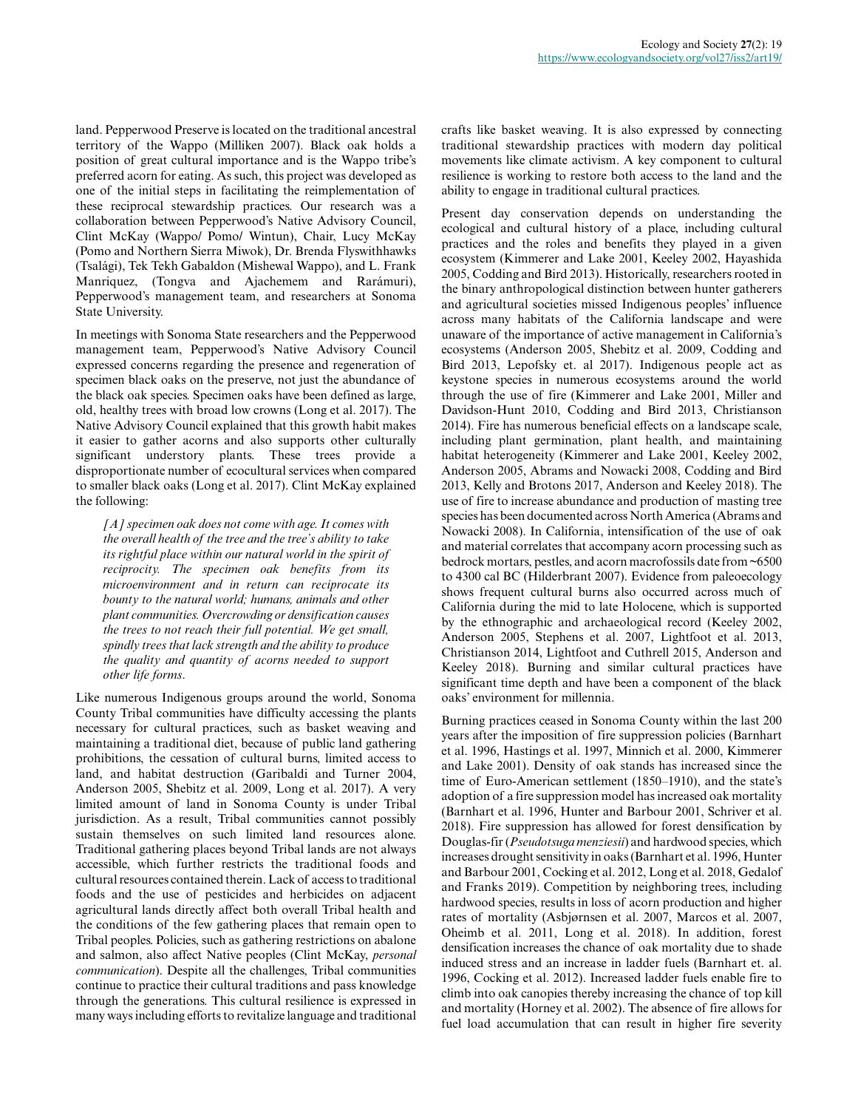land. Pepperwood Preserve is located on the traditional ancestral territory of the Wappo (Milliken 2007). Black oak holds a position of great cultural importance and is the Wappo tribe's preferred acorn for eating. As such, this project was developed as one of the initial steps in facilitating the reimplementation of these reciprocal stewardship practices. Our research was a collaboration between Pepperwood's Native Advisory Council, Clint McKay (Wappo/ Pomo/ Wintun), Chair, Lucy McKay (Pomo and Northern Sierra Miwok), Dr. Brenda Flyswithhawks (Tsalági), Tek Tekh Gabaldon (Mishewal Wappo), and L. Frank Manriquez, (Tongva and Ajachemem and Rarámuri), Pepperwood's management team, and researchers at Sonoma State University.

In meetings with Sonoma State researchers and the Pepperwood management team, Pepperwood's Native Advisory Council expressed concerns regarding the presence and regeneration of specimen black oaks on the preserve, not just the abundance of the black oak species. Specimen oaks have been defined as large, old, healthy trees with broad low crowns (Long et al. 2017). The Native Advisory Council explained that this growth habit makes it easier to gather acorns and also supports other culturally significant understory plants. These trees provide a disproportionate number of ecocultural services when compared to smaller black oaks (Long et al. 2017). Clint McKay explained the following:

*[A] specimen oak does not come with age. It comes with the overall health of the tree and the tree's ability to take its rightful place within our natural world in the spirit of reciprocity. The specimen oak benefits from its microenvironment and in return can reciprocate its bounty to the natural world; humans, animals and other plant communities. Overcrowding or densification causes the trees to not reach their full potential. We get small, spindly trees that lack strength and the ability to produce the quality and quantity of acorns needed to support other life forms*.

Like numerous Indigenous groups around the world, Sonoma County Tribal communities have difficulty accessing the plants necessary for cultural practices, such as basket weaving and maintaining a traditional diet, because of public land gathering prohibitions, the cessation of cultural burns, limited access to land, and habitat destruction (Garibaldi and Turner 2004, Anderson 2005, Shebitz et al. 2009, Long et al. 2017). A very limited amount of land in Sonoma County is under Tribal jurisdiction. As a result, Tribal communities cannot possibly sustain themselves on such limited land resources alone. Traditional gathering places beyond Tribal lands are not always accessible, which further restricts the traditional foods and cultural resources contained therein. Lack of access to traditional foods and the use of pesticides and herbicides on adjacent agricultural lands directly affect both overall Tribal health and the conditions of the few gathering places that remain open to Tribal peoples. Policies, such as gathering restrictions on abalone and salmon, also affect Native peoples (Clint McKay, *personal communication*). Despite all the challenges, Tribal communities continue to practice their cultural traditions and pass knowledge through the generations. This cultural resilience is expressed in many ways including efforts to revitalize language and traditional crafts like basket weaving. It is also expressed by connecting traditional stewardship practices with modern day political movements like climate activism. A key component to cultural resilience is working to restore both access to the land and the ability to engage in traditional cultural practices.

Present day conservation depends on understanding the ecological and cultural history of a place, including cultural practices and the roles and benefits they played in a given ecosystem (Kimmerer and Lake 2001, Keeley 2002, Hayashida 2005, Codding and Bird 2013). Historically, researchers rooted in the binary anthropological distinction between hunter gatherers and agricultural societies missed Indigenous peoples' influence across many habitats of the California landscape and were unaware of the importance of active management in California's ecosystems (Anderson 2005, Shebitz et al. 2009, Codding and Bird 2013, Lepofsky et. al 2017). Indigenous people act as keystone species in numerous ecosystems around the world through the use of fire (Kimmerer and Lake 2001, Miller and Davidson-Hunt 2010, Codding and Bird 2013, Christianson 2014). Fire has numerous beneficial effects on a landscape scale, including plant germination, plant health, and maintaining habitat heterogeneity (Kimmerer and Lake 2001, Keeley 2002, Anderson 2005, Abrams and Nowacki 2008, Codding and Bird 2013, Kelly and Brotons 2017, Anderson and Keeley 2018). The use of fire to increase abundance and production of masting tree species has been documented across North America (Abrams and Nowacki 2008). In California, intensification of the use of oak and material correlates that accompany acorn processing such as bedrock mortars, pestles, and acorn macrofossils date from ~6500 to 4300 cal BC (Hilderbrant 2007). Evidence from paleoecology shows frequent cultural burns also occurred across much of California during the mid to late Holocene, which is supported by the ethnographic and archaeological record (Keeley 2002, Anderson 2005, Stephens et al. 2007, Lightfoot et al. 2013, Christianson 2014, Lightfoot and Cuthrell 2015, Anderson and Keeley 2018). Burning and similar cultural practices have significant time depth and have been a component of the black oaks' environment for millennia.

Burning practices ceased in Sonoma County within the last 200 years after the imposition of fire suppression policies (Barnhart et al. 1996, Hastings et al. 1997, Minnich et al. 2000, Kimmerer and Lake 2001). Density of oak stands has increased since the time of Euro-American settlement (1850–1910), and the state's adoption of a fire suppression model has increased oak mortality (Barnhart et al. 1996, Hunter and Barbour 2001, Schriver et al. 2018). Fire suppression has allowed for forest densification by Douglas-fir (*Pseudotsuga menziesii*) and hardwood species, which increases drought sensitivity in oaks (Barnhart et al. 1996, Hunter and Barbour 2001, Cocking et al. 2012, Long et al. 2018, Gedalof and Franks 2019). Competition by neighboring trees, including hardwood species, results in loss of acorn production and higher rates of mortality (Asbjørnsen et al. 2007, Marcos et al. 2007, Oheimb et al. 2011, Long et al. 2018). In addition, forest densification increases the chance of oak mortality due to shade induced stress and an increase in ladder fuels (Barnhart et. al. 1996, Cocking et al. 2012). Increased ladder fuels enable fire to climb into oak canopies thereby increasing the chance of top kill and mortality (Horney et al. 2002). The absence of fire allows for fuel load accumulation that can result in higher fire severity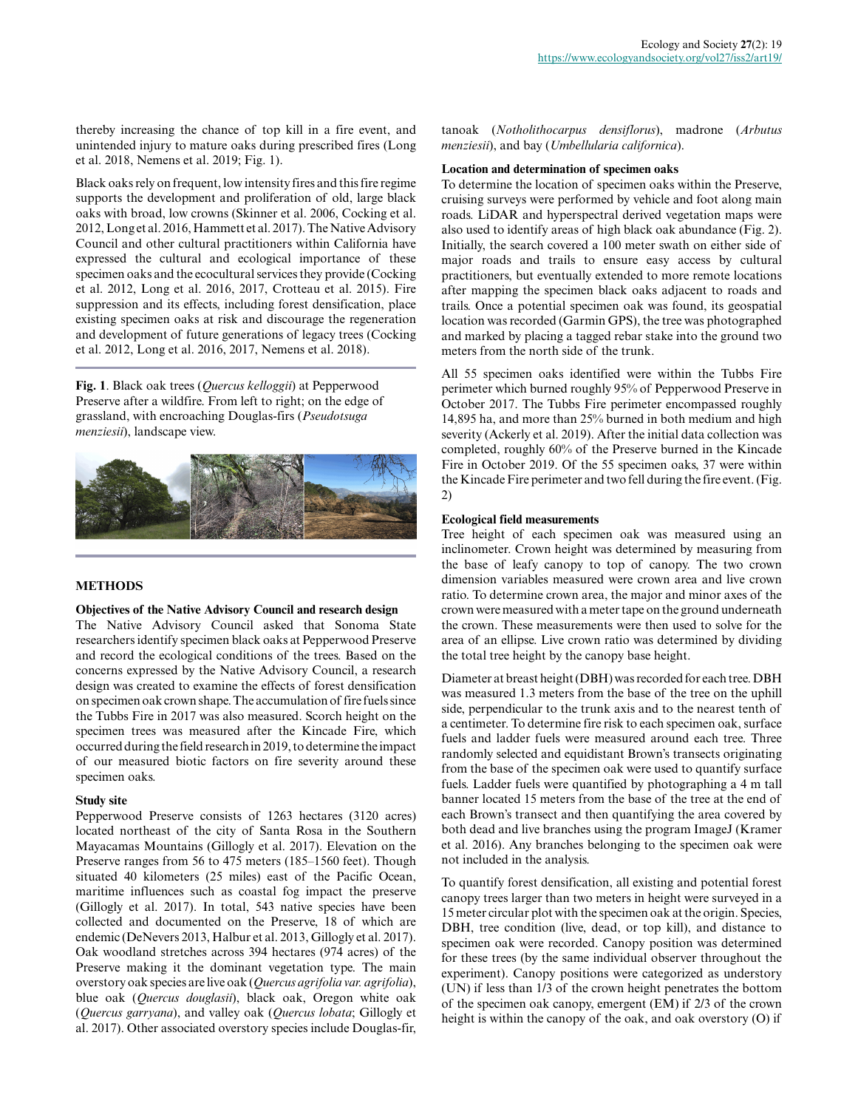thereby increasing the chance of top kill in a fire event, and unintended injury to mature oaks during prescribed fires (Long et al. 2018, Nemens et al. 2019; Fig. 1).

Black oaks rely on frequent, low intensity fires and this fire regime supports the development and proliferation of old, large black oaks with broad, low crowns (Skinner et al. 2006, Cocking et al. 2012, Long et al. 2016, Hammett et al. 2017). The Native Advisory Council and other cultural practitioners within California have expressed the cultural and ecological importance of these specimen oaks and the ecocultural services they provide (Cocking et al. 2012, Long et al. 2016, 2017, Crotteau et al. 2015). Fire suppression and its effects, including forest densification, place existing specimen oaks at risk and discourage the regeneration and development of future generations of legacy trees (Cocking et al. 2012, Long et al. 2016, 2017, Nemens et al. 2018).

**Fig. 1**. Black oak trees (*Quercus kelloggii*) at Pepperwood Preserve after a wildfire. From left to right; on the edge of grassland, with encroaching Douglas-firs (*Pseudotsuga menziesii*), landscape view.



# **METHODS**

#### **Objectives of the Native Advisory Council and research design**

The Native Advisory Council asked that Sonoma State researchers identify specimen black oaks at Pepperwood Preserve and record the ecological conditions of the trees. Based on the concerns expressed by the Native Advisory Council, a research design was created to examine the effects of forest densification on specimen oak crown shape. The accumulation of fire fuels since the Tubbs Fire in 2017 was also measured. Scorch height on the specimen trees was measured after the Kincade Fire, which occurred during the field research in 2019, to determine the impact of our measured biotic factors on fire severity around these specimen oaks.

#### **Study site**

Pepperwood Preserve consists of 1263 hectares (3120 acres) located northeast of the city of Santa Rosa in the Southern Mayacamas Mountains (Gillogly et al. 2017). Elevation on the Preserve ranges from 56 to 475 meters (185–1560 feet). Though situated 40 kilometers (25 miles) east of the Pacific Ocean, maritime influences such as coastal fog impact the preserve (Gillogly et al. 2017). In total, 543 native species have been collected and documented on the Preserve, 18 of which are endemic (DeNevers 2013, Halbur et al. 2013, Gillogly et al. 2017). Oak woodland stretches across 394 hectares (974 acres) of the Preserve making it the dominant vegetation type. The main overstory oak species are live oak (*Quercus agrifolia var. agrifolia*), blue oak (*Quercus douglasii*), black oak, Oregon white oak (*Quercus garryana*), and valley oak (*Quercus lobata*; Gillogly et al. 2017). Other associated overstory species include Douglas-fir,

tanoak (*Notholithocarpus densiflorus*), madrone (*Arbutus menziesii*), and bay (*Umbellularia californica*).

#### **Location and determination of specimen oaks**

To determine the location of specimen oaks within the Preserve, cruising surveys were performed by vehicle and foot along main roads. LiDAR and hyperspectral derived vegetation maps were also used to identify areas of high black oak abundance (Fig. 2). Initially, the search covered a 100 meter swath on either side of major roads and trails to ensure easy access by cultural practitioners, but eventually extended to more remote locations after mapping the specimen black oaks adjacent to roads and trails. Once a potential specimen oak was found, its geospatial location was recorded (Garmin GPS), the tree was photographed and marked by placing a tagged rebar stake into the ground two meters from the north side of the trunk.

All 55 specimen oaks identified were within the Tubbs Fire perimeter which burned roughly 95% of Pepperwood Preserve in October 2017. The Tubbs Fire perimeter encompassed roughly 14,895 ha, and more than 25% burned in both medium and high severity (Ackerly et al. 2019). After the initial data collection was completed, roughly 60% of the Preserve burned in the Kincade Fire in October 2019. Of the 55 specimen oaks, 37 were within the Kincade Fire perimeter and two fell during the fire event. (Fig. 2)

#### **Ecological field measurements**

Tree height of each specimen oak was measured using an inclinometer. Crown height was determined by measuring from the base of leafy canopy to top of canopy. The two crown dimension variables measured were crown area and live crown ratio. To determine crown area, the major and minor axes of the crown were measured with a meter tape on the ground underneath the crown. These measurements were then used to solve for the area of an ellipse. Live crown ratio was determined by dividing the total tree height by the canopy base height.

Diameter at breast height (DBH) was recorded for each tree. DBH was measured 1.3 meters from the base of the tree on the uphill side, perpendicular to the trunk axis and to the nearest tenth of a centimeter. To determine fire risk to each specimen oak, surface fuels and ladder fuels were measured around each tree. Three randomly selected and equidistant Brown's transects originating from the base of the specimen oak were used to quantify surface fuels. Ladder fuels were quantified by photographing a 4 m tall banner located 15 meters from the base of the tree at the end of each Brown's transect and then quantifying the area covered by both dead and live branches using the program ImageJ (Kramer et al. 2016). Any branches belonging to the specimen oak were not included in the analysis.

To quantify forest densification, all existing and potential forest canopy trees larger than two meters in height were surveyed in a 15 meter circular plot with the specimen oak at the origin. Species, DBH, tree condition (live, dead, or top kill), and distance to specimen oak were recorded. Canopy position was determined for these trees (by the same individual observer throughout the experiment). Canopy positions were categorized as understory (UN) if less than 1/3 of the crown height penetrates the bottom of the specimen oak canopy, emergent (EM) if 2/3 of the crown height is within the canopy of the oak, and oak overstory (O) if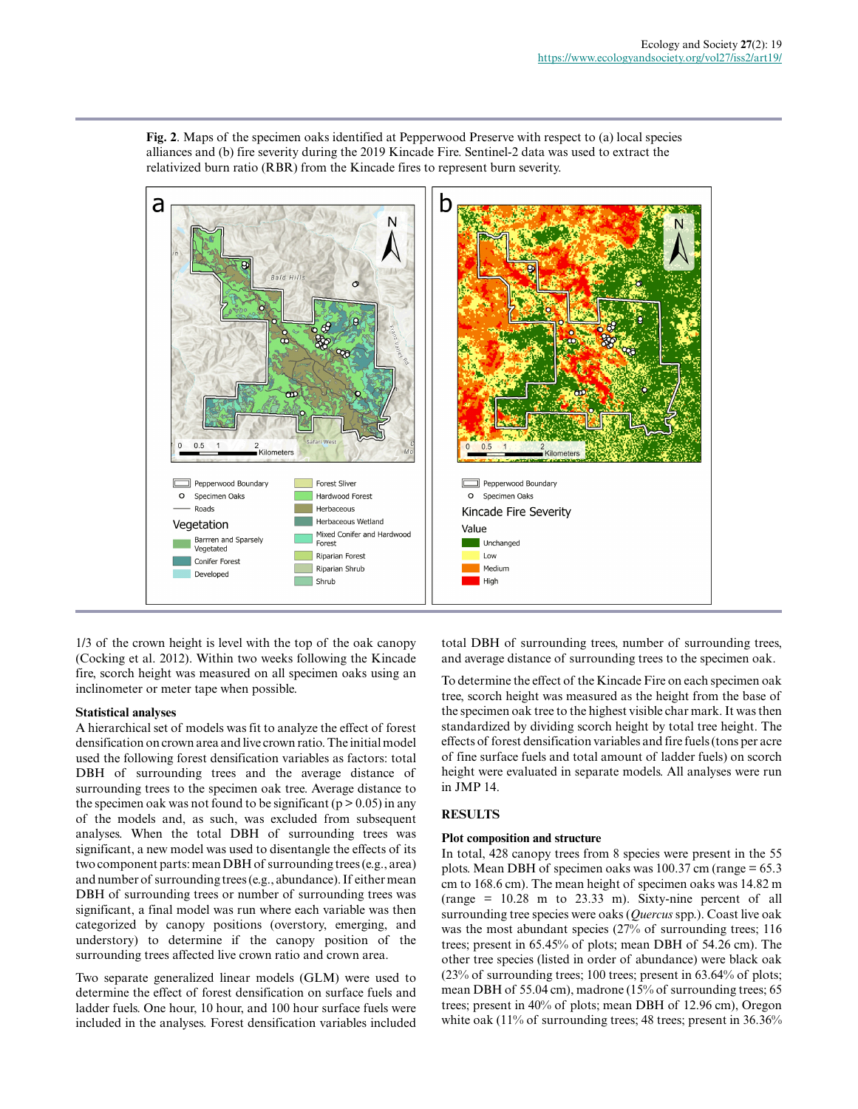**Fig. 2**. Maps of the specimen oaks identified at Pepperwood Preserve with respect to (a) local species alliances and (b) fire severity during the 2019 Kincade Fire. Sentinel-2 data was used to extract the relativized burn ratio (RBR) from the Kincade fires to represent burn severity.



1/3 of the crown height is level with the top of the oak canopy (Cocking et al. 2012). Within two weeks following the Kincade fire, scorch height was measured on all specimen oaks using an inclinometer or meter tape when possible.

#### **Statistical analyses**

A hierarchical set of models was fit to analyze the effect of forest densification on crown area and live crown ratio. The initial model used the following forest densification variables as factors: total DBH of surrounding trees and the average distance of surrounding trees to the specimen oak tree. Average distance to the specimen oak was not found to be significant ( $p > 0.05$ ) in any of the models and, as such, was excluded from subsequent analyses. When the total DBH of surrounding trees was significant, a new model was used to disentangle the effects of its two component parts: mean DBH of surrounding trees (e.g., area) and number of surrounding trees (e.g., abundance). If either mean DBH of surrounding trees or number of surrounding trees was significant, a final model was run where each variable was then categorized by canopy positions (overstory, emerging, and understory) to determine if the canopy position of the surrounding trees affected live crown ratio and crown area.

Two separate generalized linear models (GLM) were used to determine the effect of forest densification on surface fuels and ladder fuels. One hour, 10 hour, and 100 hour surface fuels were included in the analyses. Forest densification variables included total DBH of surrounding trees, number of surrounding trees, and average distance of surrounding trees to the specimen oak.

To determine the effect of the Kincade Fire on each specimen oak tree, scorch height was measured as the height from the base of the specimen oak tree to the highest visible char mark. It was then standardized by dividing scorch height by total tree height. The effects of forest densification variables and fire fuels (tons per acre of fine surface fuels and total amount of ladder fuels) on scorch height were evaluated in separate models. All analyses were run in JMP 14.

#### **RESULTS**

#### **Plot composition and structure**

In total, 428 canopy trees from 8 species were present in the 55 plots. Mean DBH of specimen oaks was  $100.37$  cm (range = 65.3) cm to 168.6 cm). The mean height of specimen oaks was 14.82 m (range = 10.28 m to 23.33 m). Sixty-nine percent of all surrounding tree species were oaks (*Quercus* spp.). Coast live oak was the most abundant species (27% of surrounding trees; 116 trees; present in 65.45% of plots; mean DBH of 54.26 cm). The other tree species (listed in order of abundance) were black oak (23% of surrounding trees; 100 trees; present in 63.64% of plots; mean DBH of 55.04 cm), madrone (15% of surrounding trees; 65 trees; present in 40% of plots; mean DBH of 12.96 cm), Oregon white oak (11% of surrounding trees; 48 trees; present in 36.36%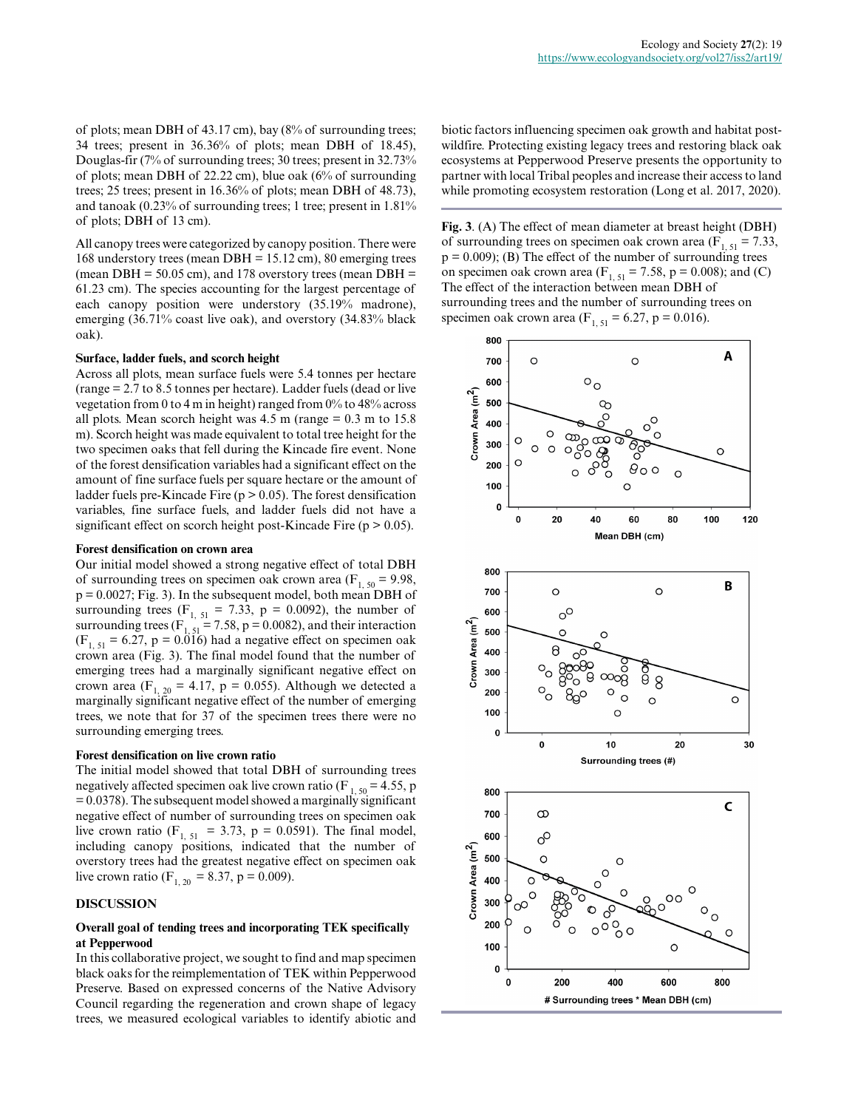of plots; mean DBH of 43.17 cm), bay (8% of surrounding trees; 34 trees; present in 36.36% of plots; mean DBH of 18.45), Douglas-fir (7% of surrounding trees; 30 trees; present in 32.73% of plots; mean DBH of 22.22 cm), blue oak (6% of surrounding trees; 25 trees; present in 16.36% of plots; mean DBH of 48.73), and tanoak (0.23% of surrounding trees; 1 tree; present in 1.81% of plots; DBH of 13 cm).

All canopy trees were categorized by canopy position. There were 168 understory trees (mean DBH = 15.12 cm), 80 emerging trees (mean DBH =  $50.05$  cm), and 178 overstory trees (mean DBH = 61.23 cm). The species accounting for the largest percentage of each canopy position were understory (35.19% madrone), emerging (36.71% coast live oak), and overstory (34.83% black oak).

# **Surface, ladder fuels, and scorch height**

Across all plots, mean surface fuels were 5.4 tonnes per hectare (range = 2.7 to 8.5 tonnes per hectare). Ladder fuels (dead or live vegetation from 0 to 4 m in height) ranged from 0% to 48% across all plots. Mean scorch height was  $4.5$  m (range =  $0.3$  m to  $15.8$ ) m). Scorch height was made equivalent to total tree height for the two specimen oaks that fell during the Kincade fire event. None of the forest densification variables had a significant effect on the amount of fine surface fuels per square hectare or the amount of ladder fuels pre-Kincade Fire ( $p > 0.05$ ). The forest densification variables, fine surface fuels, and ladder fuels did not have a significant effect on scorch height post-Kincade Fire ( $p > 0.05$ ).

#### **Forest densification on crown area**

Our initial model showed a strong negative effect of total DBH of surrounding trees on specimen oak crown area ( $F_{1, 50} = 9.98$ ,  $p = 0.0027$ ; Fig. 3). In the subsequent model, both mean DBH of surrounding trees ( $F_{1, 51} = 7.33$ ,  $p = 0.0092$ ), the number of surrounding trees ( $F_{1, 51} = 7.58$ , p = 0.0082), and their interaction  $(F<sub>1, 51</sub> = 6.27, p = 0.016)$  had a negative effect on specimen oak crown area (Fig. 3). The final model found that the number of emerging trees had a marginally significant negative effect on crown area (F<sub>1, 20</sub> = 4.17, p = 0.055). Although we detected a marginally significant negative effect of the number of emerging trees, we note that for 37 of the specimen trees there were no surrounding emerging trees.

#### **Forest densification on live crown ratio**

The initial model showed that total DBH of surrounding trees negatively affected specimen oak live crown ratio (F<sub>1,50</sub> = 4.55, p  $= 0.0378$ ). The subsequent model showed a marginally significant negative effect of number of surrounding trees on specimen oak live crown ratio ( $F_{1, 51} = 3.73$ , p = 0.0591). The final model, including canopy positions, indicated that the number of overstory trees had the greatest negative effect on specimen oak live crown ratio (F<sub>1, 20</sub> = 8.37, p = 0.009).

# **DISCUSSION**

# **Overall goal of tending trees and incorporating TEK specifically at Pepperwood**

In this collaborative project, we sought to find and map specimen black oaks for the reimplementation of TEK within Pepperwood Preserve. Based on expressed concerns of the Native Advisory Council regarding the regeneration and crown shape of legacy trees, we measured ecological variables to identify abiotic and biotic factors influencing specimen oak growth and habitat postwildfire. Protecting existing legacy trees and restoring black oak ecosystems at Pepperwood Preserve presents the opportunity to partner with local Tribal peoples and increase their access to land while promoting ecosystem restoration (Long et al. 2017, 2020).

**Fig. 3**. (A) The effect of mean diameter at breast height (DBH) of surrounding trees on specimen oak crown area  $(F_{1, 51} = 7.33)$ ,  $p = 0.009$ ); (B) The effect of the number of surrounding trees on specimen oak crown area ( $F_{1, 51} = 7.58$ , p = 0.008); and (C) The effect of the interaction between mean DBH of surrounding trees and the number of surrounding trees on specimen oak crown area (F<sub>1, 51</sub> = 6.27, p = 0.016).

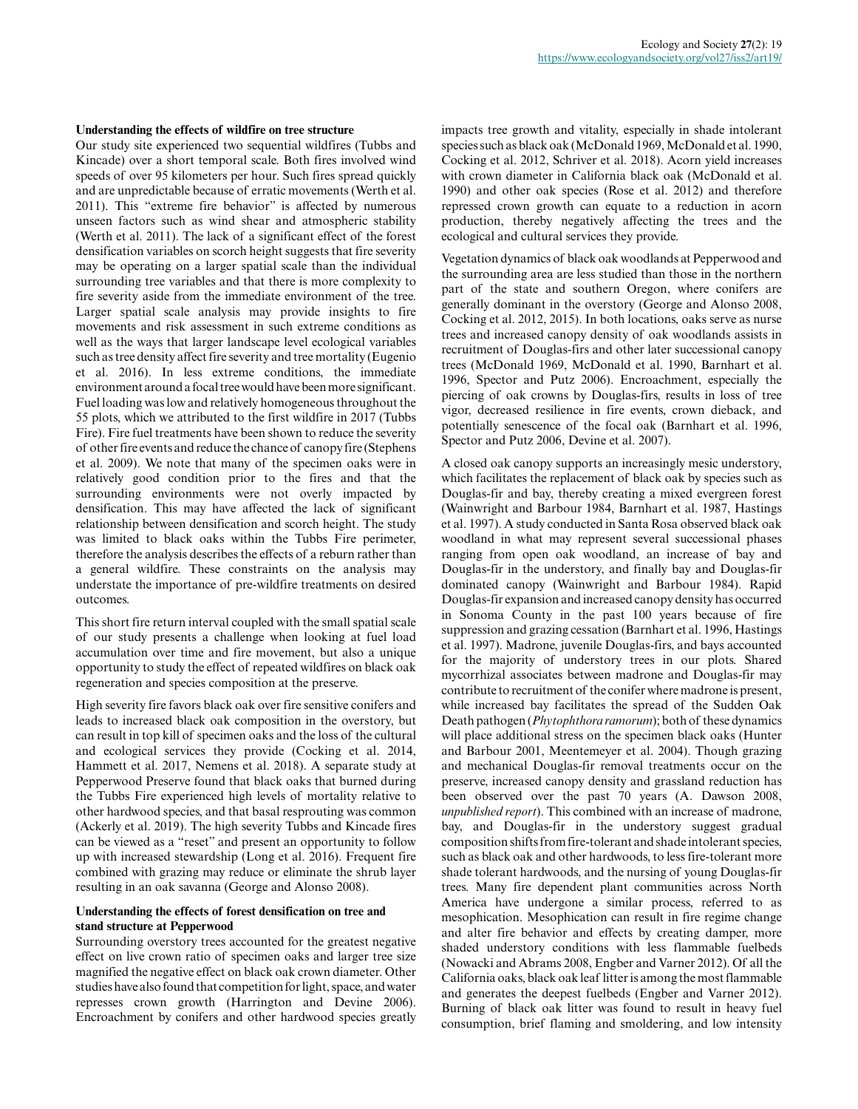#### **Understanding the effects of wildfire on tree structure**

Our study site experienced two sequential wildfires (Tubbs and Kincade) over a short temporal scale. Both fires involved wind speeds of over 95 kilometers per hour. Such fires spread quickly and are unpredictable because of erratic movements (Werth et al. 2011). This "extreme fire behavior" is affected by numerous unseen factors such as wind shear and atmospheric stability (Werth et al. 2011). The lack of a significant effect of the forest densification variables on scorch height suggests that fire severity may be operating on a larger spatial scale than the individual surrounding tree variables and that there is more complexity to fire severity aside from the immediate environment of the tree. Larger spatial scale analysis may provide insights to fire movements and risk assessment in such extreme conditions as well as the ways that larger landscape level ecological variables such as tree density affect fire severity and tree mortality (Eugenio et al. 2016). In less extreme conditions, the immediate environment around a focal tree would have been more significant. Fuel loading was low and relatively homogeneous throughout the 55 plots, which we attributed to the first wildfire in 2017 (Tubbs Fire). Fire fuel treatments have been shown to reduce the severity of other fire events and reduce the chance of canopy fire (Stephens et al. 2009). We note that many of the specimen oaks were in relatively good condition prior to the fires and that the surrounding environments were not overly impacted by densification. This may have affected the lack of significant relationship between densification and scorch height. The study was limited to black oaks within the Tubbs Fire perimeter, therefore the analysis describes the effects of a reburn rather than a general wildfire. These constraints on the analysis may understate the importance of pre-wildfire treatments on desired outcomes.

This short fire return interval coupled with the small spatial scale of our study presents a challenge when looking at fuel load accumulation over time and fire movement, but also a unique opportunity to study the effect of repeated wildfires on black oak regeneration and species composition at the preserve.

High severity fire favors black oak over fire sensitive conifers and leads to increased black oak composition in the overstory, but can result in top kill of specimen oaks and the loss of the cultural and ecological services they provide (Cocking et al. 2014, Hammett et al. 2017, Nemens et al. 2018). A separate study at Pepperwood Preserve found that black oaks that burned during the Tubbs Fire experienced high levels of mortality relative to other hardwood species, and that basal resprouting was common (Ackerly et al. 2019). The high severity Tubbs and Kincade fires can be viewed as a "reset" and present an opportunity to follow up with increased stewardship (Long et al. 2016). Frequent fire combined with grazing may reduce or eliminate the shrub layer resulting in an oak savanna (George and Alonso 2008).

#### **Understanding the effects of forest densification on tree and stand structure at Pepperwood**

Surrounding overstory trees accounted for the greatest negative effect on live crown ratio of specimen oaks and larger tree size magnified the negative effect on black oak crown diameter. Other studies have also found that competition for light, space, and water represses crown growth (Harrington and Devine 2006). Encroachment by conifers and other hardwood species greatly impacts tree growth and vitality, especially in shade intolerant species such as black oak (McDonald 1969, McDonald et al. 1990, Cocking et al. 2012, Schriver et al. 2018). Acorn yield increases with crown diameter in California black oak (McDonald et al. 1990) and other oak species (Rose et al. 2012) and therefore repressed crown growth can equate to a reduction in acorn production, thereby negatively affecting the trees and the ecological and cultural services they provide.

Vegetation dynamics of black oak woodlands at Pepperwood and the surrounding area are less studied than those in the northern part of the state and southern Oregon, where conifers are generally dominant in the overstory (George and Alonso 2008, Cocking et al. 2012, 2015). In both locations, oaks serve as nurse trees and increased canopy density of oak woodlands assists in recruitment of Douglas-firs and other later successional canopy trees (McDonald 1969, McDonald et al. 1990, Barnhart et al. 1996, Spector and Putz 2006). Encroachment, especially the piercing of oak crowns by Douglas-firs, results in loss of tree vigor, decreased resilience in fire events, crown dieback, and potentially senescence of the focal oak (Barnhart et al. 1996, Spector and Putz 2006, Devine et al. 2007).

A closed oak canopy supports an increasingly mesic understory, which facilitates the replacement of black oak by species such as Douglas-fir and bay, thereby creating a mixed evergreen forest (Wainwright and Barbour 1984, Barnhart et al. 1987, Hastings et al. 1997). A study conducted in Santa Rosa observed black oak woodland in what may represent several successional phases ranging from open oak woodland, an increase of bay and Douglas-fir in the understory, and finally bay and Douglas-fir dominated canopy (Wainwright and Barbour 1984). Rapid Douglas-fir expansion and increased canopy density has occurred in Sonoma County in the past 100 years because of fire suppression and grazing cessation (Barnhart et al. 1996, Hastings et al. 1997). Madrone, juvenile Douglas-firs, and bays accounted for the majority of understory trees in our plots. Shared mycorrhizal associates between madrone and Douglas-fir may contribute to recruitment of the conifer where madrone is present, while increased bay facilitates the spread of the Sudden Oak Death pathogen (*Phytophthora ramorum*); both of these dynamics will place additional stress on the specimen black oaks (Hunter and Barbour 2001, Meentemeyer et al. 2004). Though grazing and mechanical Douglas-fir removal treatments occur on the preserve, increased canopy density and grassland reduction has been observed over the past 70 years (A. Dawson 2008, *unpublished report*). This combined with an increase of madrone, bay, and Douglas-fir in the understory suggest gradual composition shifts from fire-tolerant and shade intolerant species, such as black oak and other hardwoods, to less fire-tolerant more shade tolerant hardwoods, and the nursing of young Douglas-fir trees. Many fire dependent plant communities across North America have undergone a similar process, referred to as mesophication. Mesophication can result in fire regime change and alter fire behavior and effects by creating damper, more shaded understory conditions with less flammable fuelbeds (Nowacki and Abrams 2008, Engber and Varner 2012). Of all the California oaks, black oak leaf litter is among the most flammable and generates the deepest fuelbeds (Engber and Varner 2012). Burning of black oak litter was found to result in heavy fuel consumption, brief flaming and smoldering, and low intensity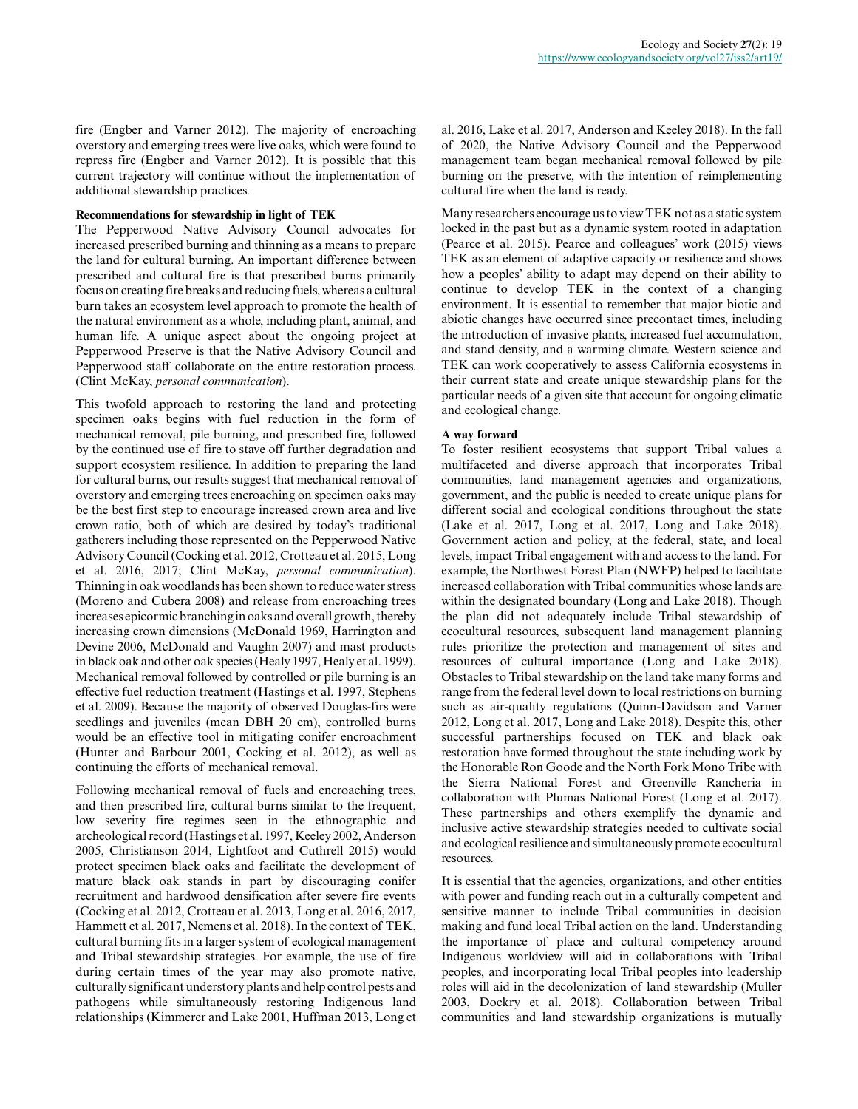fire (Engber and Varner 2012). The majority of encroaching overstory and emerging trees were live oaks, which were found to repress fire (Engber and Varner 2012). It is possible that this current trajectory will continue without the implementation of additional stewardship practices.

# **Recommendations for stewardship in light of TEK**

The Pepperwood Native Advisory Council advocates for increased prescribed burning and thinning as a means to prepare the land for cultural burning. An important difference between prescribed and cultural fire is that prescribed burns primarily focus on creating fire breaks and reducing fuels, whereas a cultural burn takes an ecosystem level approach to promote the health of the natural environment as a whole, including plant, animal, and human life. A unique aspect about the ongoing project at Pepperwood Preserve is that the Native Advisory Council and Pepperwood staff collaborate on the entire restoration process. (Clint McKay, *personal communication*).

This twofold approach to restoring the land and protecting specimen oaks begins with fuel reduction in the form of mechanical removal, pile burning, and prescribed fire, followed by the continued use of fire to stave off further degradation and support ecosystem resilience. In addition to preparing the land for cultural burns, our results suggest that mechanical removal of overstory and emerging trees encroaching on specimen oaks may be the best first step to encourage increased crown area and live crown ratio, both of which are desired by today's traditional gatherers including those represented on the Pepperwood Native Advisory Council (Cocking et al. 2012, Crotteau et al. 2015, Long et al. 2016, 2017; Clint McKay, *personal communication*). Thinning in oak woodlands has been shown to reduce water stress (Moreno and Cubera 2008) and release from encroaching trees increases epicormic branching in oaks and overall growth, thereby increasing crown dimensions (McDonald 1969, Harrington and Devine 2006, McDonald and Vaughn 2007) and mast products in black oak and other oak species (Healy 1997, Healy et al. 1999). Mechanical removal followed by controlled or pile burning is an effective fuel reduction treatment (Hastings et al. 1997, Stephens et al. 2009). Because the majority of observed Douglas-firs were seedlings and juveniles (mean DBH 20 cm), controlled burns would be an effective tool in mitigating conifer encroachment (Hunter and Barbour 2001, Cocking et al. 2012), as well as continuing the efforts of mechanical removal.

Following mechanical removal of fuels and encroaching trees, and then prescribed fire, cultural burns similar to the frequent, low severity fire regimes seen in the ethnographic and archeological record (Hastings et al. 1997, Keeley 2002, Anderson 2005, Christianson 2014, Lightfoot and Cuthrell 2015) would protect specimen black oaks and facilitate the development of mature black oak stands in part by discouraging conifer recruitment and hardwood densification after severe fire events (Cocking et al. 2012, Crotteau et al. 2013, Long et al. 2016, 2017, Hammett et al. 2017, Nemens et al. 2018). In the context of TEK, cultural burning fits in a larger system of ecological management and Tribal stewardship strategies. For example, the use of fire during certain times of the year may also promote native, culturally significant understory plants and help control pests and pathogens while simultaneously restoring Indigenous land relationships (Kimmerer and Lake 2001, Huffman 2013, Long et al. 2016, Lake et al. 2017, Anderson and Keeley 2018). In the fall of 2020, the Native Advisory Council and the Pepperwood management team began mechanical removal followed by pile burning on the preserve, with the intention of reimplementing cultural fire when the land is ready.

Many researchers encourage us to view TEK not as a static system locked in the past but as a dynamic system rooted in adaptation (Pearce et al. 2015). Pearce and colleagues' work (2015) views TEK as an element of adaptive capacity or resilience and shows how a peoples' ability to adapt may depend on their ability to continue to develop TEK in the context of a changing environment. It is essential to remember that major biotic and abiotic changes have occurred since precontact times, including the introduction of invasive plants, increased fuel accumulation, and stand density, and a warming climate. Western science and TEK can work cooperatively to assess California ecosystems in their current state and create unique stewardship plans for the particular needs of a given site that account for ongoing climatic and ecological change.

# **A way forward**

To foster resilient ecosystems that support Tribal values a multifaceted and diverse approach that incorporates Tribal communities, land management agencies and organizations, government, and the public is needed to create unique plans for different social and ecological conditions throughout the state (Lake et al. 2017, Long et al. 2017, Long and Lake 2018). Government action and policy, at the federal, state, and local levels, impact Tribal engagement with and access to the land. For example, the Northwest Forest Plan (NWFP) helped to facilitate increased collaboration with Tribal communities whose lands are within the designated boundary (Long and Lake 2018). Though the plan did not adequately include Tribal stewardship of ecocultural resources, subsequent land management planning rules prioritize the protection and management of sites and resources of cultural importance (Long and Lake 2018). Obstacles to Tribal stewardship on the land take many forms and range from the federal level down to local restrictions on burning such as air-quality regulations (Quinn-Davidson and Varner 2012, Long et al. 2017, Long and Lake 2018). Despite this, other successful partnerships focused on TEK and black oak restoration have formed throughout the state including work by the Honorable Ron Goode and the North Fork Mono Tribe with the Sierra National Forest and Greenville Rancheria in collaboration with Plumas National Forest (Long et al. 2017). These partnerships and others exemplify the dynamic and inclusive active stewardship strategies needed to cultivate social and ecological resilience and simultaneously promote ecocultural resources.

It is essential that the agencies, organizations, and other entities with power and funding reach out in a culturally competent and sensitive manner to include Tribal communities in decision making and fund local Tribal action on the land. Understanding the importance of place and cultural competency around Indigenous worldview will aid in collaborations with Tribal peoples, and incorporating local Tribal peoples into leadership roles will aid in the decolonization of land stewardship (Muller 2003, Dockry et al. 2018). Collaboration between Tribal communities and land stewardship organizations is mutually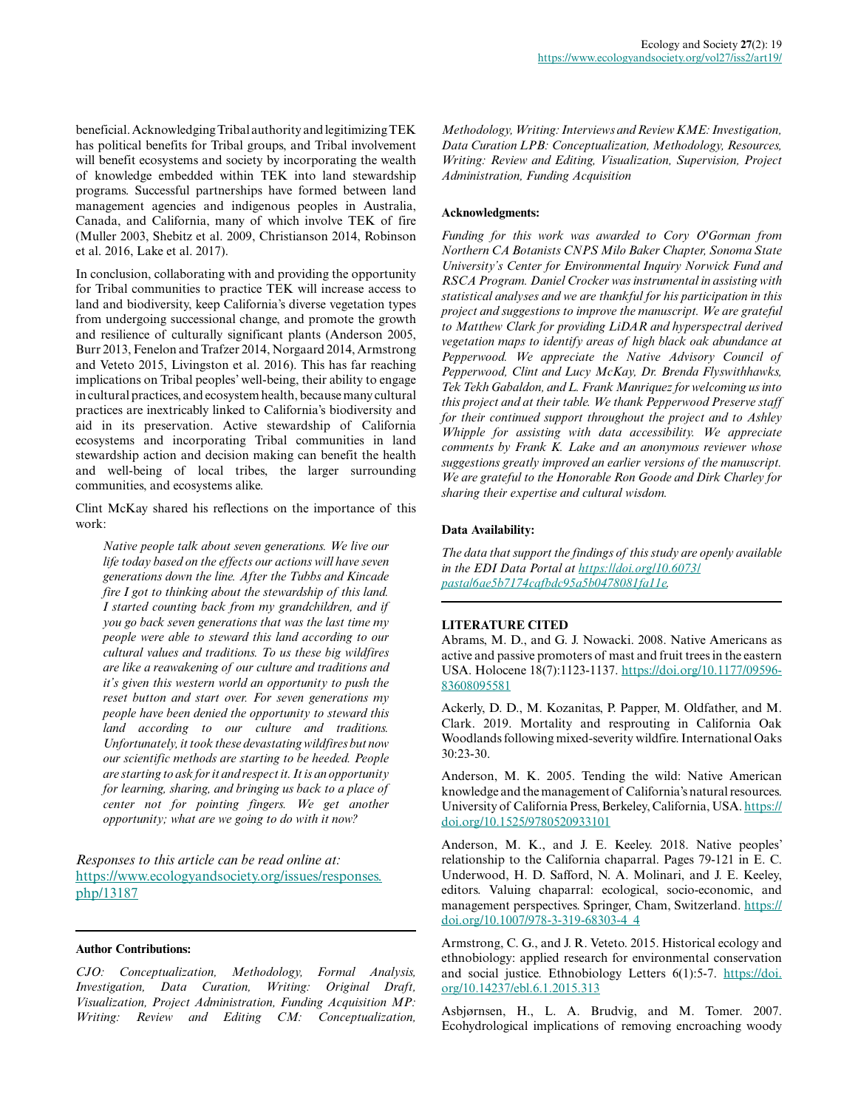beneficial. Acknowledging Tribal authority and legitimizing TEK has political benefits for Tribal groups, and Tribal involvement will benefit ecosystems and society by incorporating the wealth of knowledge embedded within TEK into land stewardship programs. Successful partnerships have formed between land management agencies and indigenous peoples in Australia, Canada, and California, many of which involve TEK of fire (Muller 2003, Shebitz et al. 2009, Christianson 2014, Robinson et al. 2016, Lake et al. 2017).

In conclusion, collaborating with and providing the opportunity for Tribal communities to practice TEK will increase access to land and biodiversity, keep California's diverse vegetation types from undergoing successional change, and promote the growth and resilience of culturally significant plants (Anderson 2005, Burr 2013, Fenelon and Trafzer 2014, Norgaard 2014, Armstrong and Veteto 2015, Livingston et al. 2016). This has far reaching implications on Tribal peoples' well-being, their ability to engage in cultural practices, and ecosystem health, because many cultural practices are inextricably linked to California's biodiversity and aid in its preservation. Active stewardship of California ecosystems and incorporating Tribal communities in land stewardship action and decision making can benefit the health and well-being of local tribes, the larger surrounding communities, and ecosystems alike.

Clint McKay shared his reflections on the importance of this work:

*Native people talk about seven generations. We live our life today based on the effects our actions will have seven generations down the line. After the Tubbs and Kincade fire I got to thinking about the stewardship of this land. I started counting back from my grandchildren, and if you go back seven generations that was the last time my people were able to steward this land according to our cultural values and traditions. To us these big wildfires are like a reawakening of our culture and traditions and it's given this western world an opportunity to push the reset button and start over. For seven generations my people have been denied the opportunity to steward this land according to our culture and traditions. Unfortunately, it took these devastating wildfires but now our scientific methods are starting to be heeded. People are starting to ask for it and respect it. It is an opportunity for learning, sharing, and bringing us back to a place of center not for pointing fingers. We get another opportunity; what are we going to do with it now?*

*Responses to this article can be read online at:* [https://www.ecologyandsociety.org/issues/responses.](https://www.ecologyandsociety.org/issues/responses.php/13187) [php/13187](https://www.ecologyandsociety.org/issues/responses.php/13187)

#### **Author Contributions:**

*CJO: Conceptualization, Methodology, Formal Analysis, Investigation, Data Curation, Writing: Original Draft, Visualization, Project Administration, Funding Acquisition MP: Writing: Review and Editing CM: Conceptualization,*

*Methodology, Writing: Interviews and Review KME: Investigation, Data Curation LPB: Conceptualization, Methodology, Resources, Writing: Review and Editing, Visualization, Supervision, Project Administration, Funding Acquisition*

# **Acknowledgments:**

*Funding for this work was awarded to Cory O'Gorman from Northern CA Botanists CNPS Milo Baker Chapter, Sonoma State University's Center for Environmental Inquiry Norwick Fund and RSCA Program. Daniel Crocker was instrumental in assisting with statistical analyses and we are thankful for his participation in this project and suggestions to improve the manuscript. We are grateful to Matthew Clark for providing LiDAR and hyperspectral derived vegetation maps to identify areas of high black oak abundance at Pepperwood. We appreciate the Native Advisory Council of Pepperwood, Clint and Lucy McKay, Dr. Brenda Flyswithhawks, Tek Tekh Gabaldon, and L. Frank Manriquez for welcoming us into this project and at their table. We thank Pepperwood Preserve staff for their continued support throughout the project and to Ashley Whipple for assisting with data accessibility. We appreciate comments by Frank K. Lake and an anonymous reviewer whose suggestions greatly improved an earlier versions of the manuscript. We are grateful to the Honorable Ron Goode and Dirk Charley for sharing their expertise and cultural wisdom.*

#### **Data Availability:**

*The data that support the findings of this study are openly available in the EDI Data Portal at [https://doi.org/10.6073/](https://doi.org/10.6073/pasta/6ae5b7174cafbdc95a5b0478081fa11e) [pasta/6ae5b7174cafbdc95a5b0478081fa11e.](https://doi.org/10.6073/pasta/6ae5b7174cafbdc95a5b0478081fa11e)*

# **LITERATURE CITED**

Abrams, M. D., and G. J. Nowacki. 2008. Native Americans as active and passive promoters of mast and fruit trees in the eastern USA. Holocene 18(7):1123-1137. [https://doi.org/10.1177/09596](https://doi.org/10.1177/0959683608095581) [83608095581](https://doi.org/10.1177/0959683608095581)

Ackerly, D. D., M. Kozanitas, P. Papper, M. Oldfather, and M. Clark. 2019. Mortality and resprouting in California Oak Woodlands following mixed-severity wildfire. International Oaks 30:23-30.

Anderson, M. K. 2005. Tending the wild: Native American knowledge and the management of California's natural resources. University of California Press, Berkeley, California, USA. [https://](https://doi.org/10.1525/9780520933101) [doi.org/10.1525/9780520933101](https://doi.org/10.1525/9780520933101) 

Anderson, M. K., and J. E. Keeley. 2018. Native peoples' relationship to the California chaparral. Pages 79-121 in E. C. Underwood, H. D. Safford, N. A. Molinari, and J. E. Keeley, editors. Valuing chaparral: ecological, socio-economic, and management perspectives. Springer, Cham, Switzerland. [https://](https://doi.org/10.1007/978-3-319-68303-4_4) [doi.org/10.1007/978-3-319-68303-4\\_4](https://doi.org/10.1007/978-3-319-68303-4_4)

Armstrong, C. G., and J. R. Veteto. 2015. Historical ecology and ethnobiology: applied research for environmental conservation and social justice. Ethnobiology Letters 6(1):5-7. [https://doi.](https://doi.org/10.14237/ebl.6.1.2015.313) [org/10.14237/ebl.6.1.2015.313](https://doi.org/10.14237/ebl.6.1.2015.313)

Asbjørnsen, H., L. A. Brudvig, and M. Tomer. 2007. Ecohydrological implications of removing encroaching woody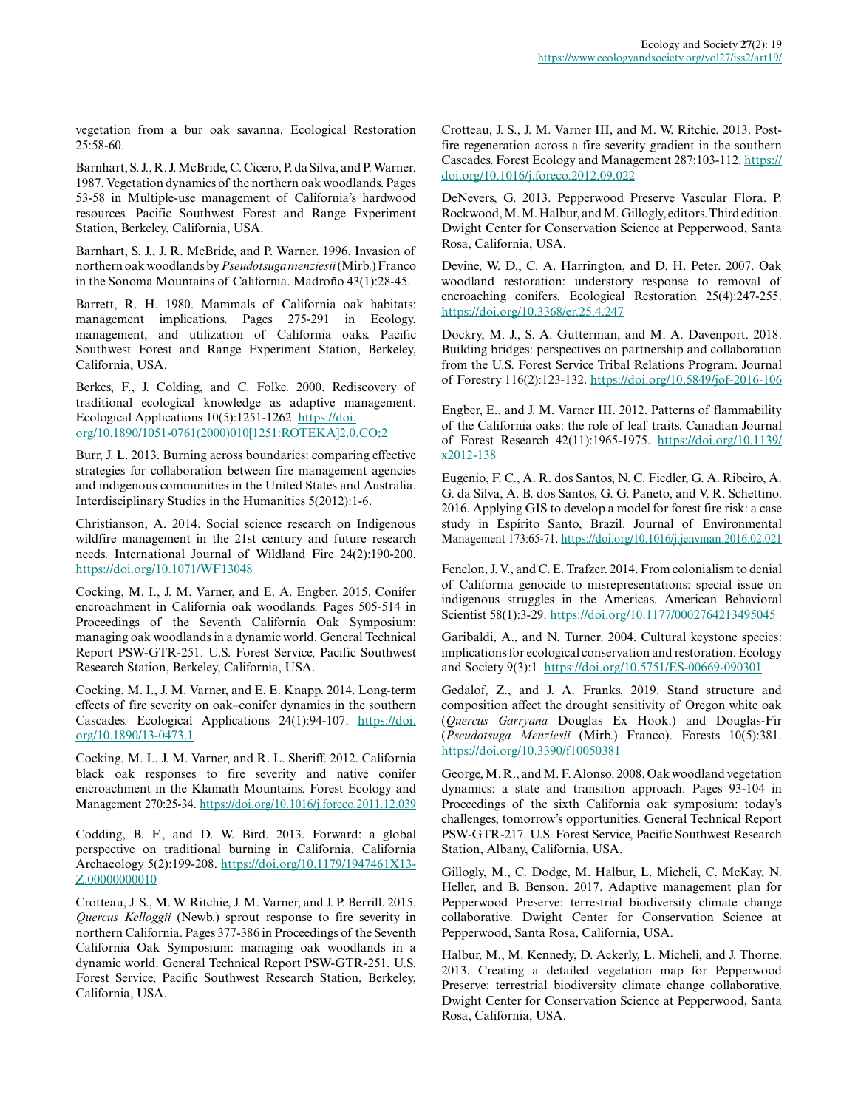vegetation from a bur oak savanna. Ecological Restoration 25:58-60.

Barnhart, S. J., R. J. McBride, C. Cicero, P. da Silva, and P. Warner. 1987. Vegetation dynamics of the northern oak woodlands. Pages 53-58 in Multiple-use management of California's hardwood resources. Pacific Southwest Forest and Range Experiment Station, Berkeley, California, USA.

Barnhart, S. J., J. R. McBride, and P. Warner. 1996. Invasion of northern oak woodlands by *Pseudotsuga menziesii* (Mirb.) Franco in the Sonoma Mountains of California. Madroño 43(1):28-45.

Barrett, R. H. 1980. Mammals of California oak habitats: management implications. Pages 275-291 in Ecology, management, and utilization of California oaks. Pacific Southwest Forest and Range Experiment Station, Berkeley, California, USA.

Berkes, F., J. Colding, and C. Folke. 2000. Rediscovery of traditional ecological knowledge as adaptive management. Ecological Applications 10(5):1251-1262. [https://doi.](https://doi.org/10.1890/1051-0761(2000)010[1251:ROTEKA]2.0.CO;2) [org/10.1890/1051-0761\(2000\)010\[1251:ROTEKA\]2.0.CO;2](https://doi.org/10.1890/1051-0761(2000)010[1251:ROTEKA]2.0.CO;2) 

Burr, J. L. 2013. Burning across boundaries: comparing effective strategies for collaboration between fire management agencies and indigenous communities in the United States and Australia. Interdisciplinary Studies in the Humanities 5(2012):1-6.

Christianson, A. 2014. Social science research on Indigenous wildfire management in the 21st century and future research needs. International Journal of Wildland Fire 24(2):190-200. <https://doi.org/10.1071/WF13048>

Cocking, M. I., J. M. Varner, and E. A. Engber. 2015. Conifer encroachment in California oak woodlands. Pages 505-514 in Proceedings of the Seventh California Oak Symposium: managing oak woodlands in a dynamic world. General Technical Report PSW-GTR-251. U.S. Forest Service, Pacific Southwest Research Station, Berkeley, California, USA.

Cocking, M. I., J. M. Varner, and E. E. Knapp. 2014. Long-term effects of fire severity on oak–conifer dynamics in the southern Cascades. Ecological Applications 24(1):94-107. [https://doi.](https://doi.org/10.1890/13-0473.1) [org/10.1890/13-0473.1](https://doi.org/10.1890/13-0473.1)

Cocking, M. I., J. M. Varner, and R. L. Sheriff. 2012. California black oak responses to fire severity and native conifer encroachment in the Klamath Mountains. Forest Ecology and Management 270:25-34.<https://doi.org/10.1016/j.foreco.2011.12.039>

Codding, B. F., and D. W. Bird. 2013. Forward: a global perspective on traditional burning in California. California Archaeology 5(2):199-208. [https://doi.org/10.1179/1947461X13](https://doi.org/10.1179/1947461X13Z.00000000010) Z.00000000010

Crotteau, J. S., M. W. Ritchie, J. M. Varner, and J. P. Berrill. 2015. *Quercus Kelloggii* (Newb.) sprout response to fire severity in northern California. Pages 377-386 in Proceedings of the Seventh California Oak Symposium: managing oak woodlands in a dynamic world. General Technical Report PSW-GTR-251. U.S. Forest Service, Pacific Southwest Research Station, Berkeley, California, USA.

Crotteau, J. S., J. M. Varner III, and M. W. Ritchie. 2013. Postfire regeneration across a fire severity gradient in the southern Cascades. Forest Ecology and Management 287:103-112. [https://](https://doi.org/10.1016/j.foreco.2012.09.022) [doi.org/10.1016/j.foreco.2012.09.022](https://doi.org/10.1016/j.foreco.2012.09.022)

DeNevers, G. 2013. Pepperwood Preserve Vascular Flora. P. Rockwood, M. M. Halbur, and M. Gillogly, editors. Third edition. Dwight Center for Conservation Science at Pepperwood, Santa Rosa, California, USA.

Devine, W. D., C. A. Harrington, and D. H. Peter. 2007. Oak woodland restoration: understory response to removal of encroaching conifers. Ecological Restoration 25(4):247-255. <https://doi.org/10.3368/er.25.4.247>

Dockry, M. J., S. A. Gutterman, and M. A. Davenport. 2018. Building bridges: perspectives on partnership and collaboration from the U.S. Forest Service Tribal Relations Program. Journal of Forestry 116(2):123-132.<https://doi.org/10.5849/jof-2016-106>

Engber, E., and J. M. Varner III. 2012. Patterns of flammability of the California oaks: the role of leaf traits. Canadian Journal of Forest Research 42(11):1965-1975. [https://doi.org/10.1139/](https://doi.org/10.1139/x2012-138) [x2012-138](https://doi.org/10.1139/x2012-138) 

Eugenio, F. C., A. R. dos Santos, N. C. Fiedler, G. A. Ribeiro, A. G. da Silva, Á. B. dos Santos, G. G. Paneto, and V. R. Schettino. 2016. Applying GIS to develop a model for forest fire risk: a case study in Espírito Santo, Brazil. Journal of Environmental Management 173:65-71.<https://doi.org/10.1016/j.jenvman.2016.02.021>

Fenelon, J. V., and C. E. Trafzer. 2014. From colonialism to denial of California genocide to misrepresentations: special issue on indigenous struggles in the Americas. American Behavioral Scientist 58(1):3-29. <https://doi.org/10.1177/0002764213495045>

Garibaldi, A., and N. Turner. 2004. Cultural keystone species: implications for ecological conservation and restoration. Ecology and Society 9(3):1.<https://doi.org/10.5751/ES-00669-090301>

Gedalof, Z., and J. A. Franks. 2019. Stand structure and composition affect the drought sensitivity of Oregon white oak (*Quercus Garryana* Douglas Ex Hook.) and Douglas-Fir (*Pseudotsuga Menziesii* (Mirb.) Franco). Forests 10(5):381. <https://doi.org/10.3390/f10050381>

George, M. R., and M. F. Alonso. 2008. Oak woodland vegetation dynamics: a state and transition approach. Pages 93-104 in Proceedings of the sixth California oak symposium: today's challenges, tomorrow's opportunities. General Technical Report PSW-GTR-217. U.S. Forest Service, Pacific Southwest Research Station, Albany, California, USA.

Gillogly, M., C. Dodge, M. Halbur, L. Micheli, C. McKay, N. Heller, and B. Benson. 2017. Adaptive management plan for Pepperwood Preserve: terrestrial biodiversity climate change collaborative. Dwight Center for Conservation Science at Pepperwood, Santa Rosa, California, USA.

Halbur, M., M. Kennedy, D. Ackerly, L. Micheli, and J. Thorne. 2013. Creating a detailed vegetation map for Pepperwood Preserve: terrestrial biodiversity climate change collaborative. Dwight Center for Conservation Science at Pepperwood, Santa Rosa, California, USA.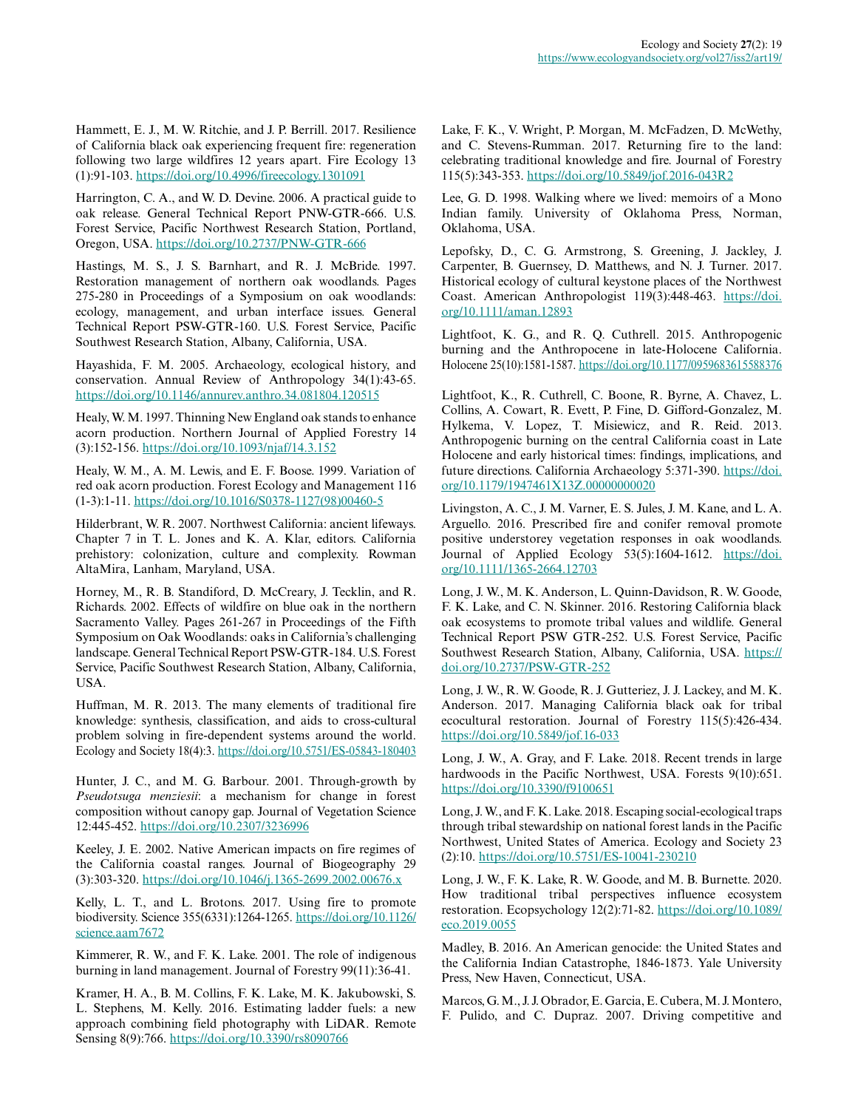Hammett, E. J., M. W. Ritchie, and J. P. Berrill. 2017. Resilience of California black oak experiencing frequent fire: regeneration following two large wildfires 12 years apart. Fire Ecology 13 (1):91-103.<https://doi.org/10.4996/fireecology.1301091>

Harrington, C. A., and W. D. Devine. 2006. A practical guide to oak release. General Technical Report PNW-GTR-666. U.S. Forest Service, Pacific Northwest Research Station, Portland, Oregon, USA.<https://doi.org/10.2737/PNW-GTR-666>

Hastings, M. S., J. S. Barnhart, and R. J. McBride. 1997. Restoration management of northern oak woodlands. Pages 275-280 in Proceedings of a Symposium on oak woodlands: ecology, management, and urban interface issues. General Technical Report PSW-GTR-160. U.S. Forest Service, Pacific Southwest Research Station, Albany, California, USA.

Hayashida, F. M. 2005. Archaeology, ecological history, and conservation. Annual Review of Anthropology 34(1):43-65. <https://doi.org/10.1146/annurev.anthro.34.081804.120515>

Healy, W. M. 1997. Thinning New England oak stands to enhance acorn production. Northern Journal of Applied Forestry 14 (3):152-156. <https://doi.org/10.1093/njaf/14.3.152>

Healy, W. M., A. M. Lewis, and E. F. Boose. 1999. Variation of red oak acorn production. Forest Ecology and Management 116 (1-3):1-11. [https://doi.org/10.1016/S0378-1127\(98\)00460-5](https://doi.org/10.1016/S0378-1127(98)00460-5)

Hilderbrant, W. R. 2007. Northwest California: ancient lifeways. Chapter 7 in T. L. Jones and K. A. Klar, editors. California prehistory: colonization, culture and complexity. Rowman AltaMira, Lanham, Maryland, USA.

Horney, M., R. B. Standiford, D. McCreary, J. Tecklin, and R. Richards. 2002. Effects of wildfire on blue oak in the northern Sacramento Valley. Pages 261-267 in Proceedings of the Fifth Symposium on Oak Woodlands: oaks in California's challenging landscape. General Technical Report PSW-GTR-184. U.S. Forest Service, Pacific Southwest Research Station, Albany, California, USA.

Huffman, M. R. 2013. The many elements of traditional fire knowledge: synthesis, classification, and aids to cross-cultural problem solving in fire-dependent systems around the world. Ecology and Society 18(4):3.<https://doi.org/10.5751/ES-05843-180403>

Hunter, J. C., and M. G. Barbour. 2001. Through-growth by *Pseudotsuga menziesii*: a mechanism for change in forest composition without canopy gap. Journal of Vegetation Science 12:445-452.<https://doi.org/10.2307/3236996>

Keeley, J. E. 2002. Native American impacts on fire regimes of the California coastal ranges. Journal of Biogeography 29 (3):303-320. <https://doi.org/10.1046/j.1365-2699.2002.00676.x>

Kelly, L. T., and L. Brotons. 2017. Using fire to promote biodiversity. Science 355(6331):1264-1265. [https://doi.org/10.1126/](https://doi.org/10.1126/science.aam7672) [science.aam7672](https://doi.org/10.1126/science.aam7672) 

Kimmerer, R. W., and F. K. Lake. 2001. The role of indigenous burning in land management. Journal of Forestry 99(11):36-41.

Kramer, H. A., B. M. Collins, F. K. Lake, M. K. Jakubowski, S. L. Stephens, M. Kelly. 2016. Estimating ladder fuels: a new approach combining field photography with LiDAR. Remote Sensing 8(9):766.<https://doi.org/10.3390/rs8090766>

Lake, F. K., V. Wright, P. Morgan, M. McFadzen, D. McWethy, and C. Stevens-Rumman. 2017. Returning fire to the land: celebrating traditional knowledge and fire. Journal of Forestry 115(5):343-353.<https://doi.org/10.5849/jof.2016-043R2>

Lee, G. D. 1998. Walking where we lived: memoirs of a Mono Indian family. University of Oklahoma Press, Norman, Oklahoma, USA.

Lepofsky, D., C. G. Armstrong, S. Greening, J. Jackley, J. Carpenter, B. Guernsey, D. Matthews, and N. J. Turner. 2017. Historical ecology of cultural keystone places of the Northwest Coast. American Anthropologist 119(3):448-463. [https://doi.](https://doi.org/10.1111/aman.12893) [org/10.1111/aman.12893](https://doi.org/10.1111/aman.12893) 

Lightfoot, K. G., and R. Q. Cuthrell. 2015. Anthropogenic burning and the Anthropocene in late-Holocene California. Holocene 25(10):1581-1587.<https://doi.org/10.1177/0959683615588376>

Lightfoot, K., R. Cuthrell, C. Boone, R. Byrne, A. Chavez, L. Collins, A. Cowart, R. Evett, P. Fine, D. Gifford-Gonzalez, M. Hylkema, V. Lopez, T. Misiewicz, and R. Reid. 2013. Anthropogenic burning on the central California coast in Late Holocene and early historical times: findings, implications, and future directions. California Archaeology 5:371-390. [https://doi.](https://doi.org/10.1179/1947461X13Z.00000000020) [org/10.1179/1947461X13Z.00000000020](https://doi.org/10.1179/1947461X13Z.00000000020) 

Livingston, A. C., J. M. Varner, E. S. Jules, J. M. Kane, and L. A. Arguello. 2016. Prescribed fire and conifer removal promote positive understorey vegetation responses in oak woodlands. Journal of Applied Ecology 53(5):1604-1612. [https://doi.](https://doi.org/10.1111/1365-2664.12703) [org/10.1111/1365-2664.12703](https://doi.org/10.1111/1365-2664.12703)

Long, J. W., M. K. Anderson, L. Quinn-Davidson, R. W. Goode, F. K. Lake, and C. N. Skinner. 2016. Restoring California black oak ecosystems to promote tribal values and wildlife. General Technical Report PSW GTR-252. U.S. Forest Service, Pacific Southwest Research Station, Albany, California, USA. [https://](https://doi.org/10.2737/PSW-GTR-252) [doi.org/10.2737/PSW-GTR-252](https://doi.org/10.2737/PSW-GTR-252) 

Long, J. W., R. W. Goode, R. J. Gutteriez, J. J. Lackey, and M. K. Anderson. 2017. Managing California black oak for tribal ecocultural restoration. Journal of Forestry 115(5):426-434. <https://doi.org/10.5849/jof.16-033>

Long, J. W., A. Gray, and F. Lake. 2018. Recent trends in large hardwoods in the Pacific Northwest, USA. Forests 9(10):651. <https://doi.org/10.3390/f9100651>

Long, J. W., and F. K. Lake. 2018. Escaping social-ecological traps through tribal stewardship on national forest lands in the Pacific Northwest, United States of America. Ecology and Society 23 (2):10. <https://doi.org/10.5751/ES-10041-230210>

Long, J. W., F. K. Lake, R. W. Goode, and M. B. Burnette. 2020. How traditional tribal perspectives influence ecosystem restoration. Ecopsychology 12(2):71-82. [https://doi.org/10.1089/](https://doi.org/10.1089/eco.2019.0055) [eco.2019.0055](https://doi.org/10.1089/eco.2019.0055)

Madley, B. 2016. An American genocide: the United States and the California Indian Catastrophe, 1846-1873. Yale University Press, New Haven, Connecticut, USA.

Marcos, G. M., J. J. Obrador, E. Garcia, E. Cubera, M. J. Montero, F. Pulido, and C. Dupraz. 2007. Driving competitive and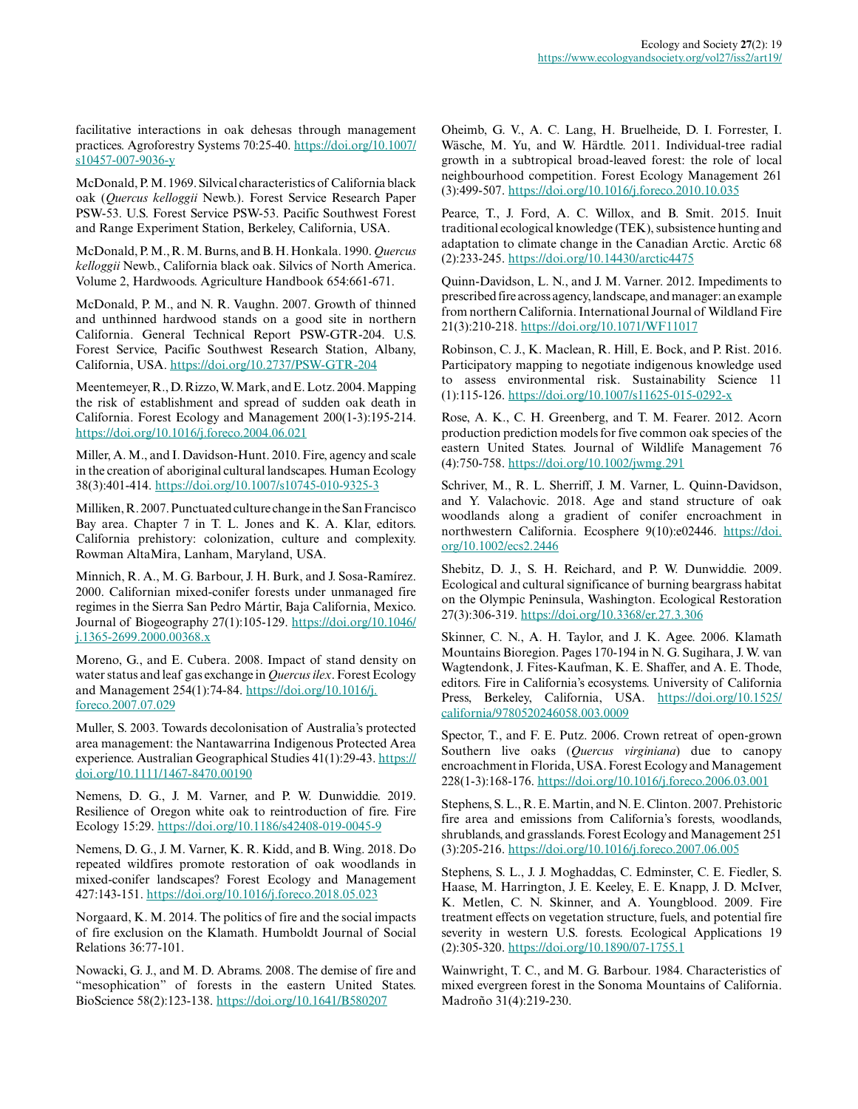facilitative interactions in oak dehesas through management practices. Agroforestry Systems 70:25-40. [https://doi.org/10.1007/](https://doi.org/10.1007/s10457-007-9036-y) [s10457-007-9036-y](https://doi.org/10.1007/s10457-007-9036-y) 

McDonald, P. M. 1969. Silvical characteristics of California black oak (*Quercus kelloggii* Newb.). Forest Service Research Paper PSW-53. U.S. Forest Service PSW-53. Pacific Southwest Forest and Range Experiment Station, Berkeley, California, USA.

McDonald, P. M., R. M. Burns, and B. H. Honkala. 1990. *Quercus kelloggii* Newb., California black oak. Silvics of North America. Volume 2, Hardwoods. Agriculture Handbook 654:661-671.

McDonald, P. M., and N. R. Vaughn. 2007. Growth of thinned and unthinned hardwood stands on a good site in northern California. General Technical Report PSW-GTR-204. U.S. Forest Service, Pacific Southwest Research Station, Albany, California, USA. <https://doi.org/10.2737/PSW-GTR-204>

Meentemeyer, R., D. Rizzo, W. Mark, and E. Lotz. 2004. Mapping the risk of establishment and spread of sudden oak death in California. Forest Ecology and Management 200(1-3):195-214. <https://doi.org/10.1016/j.foreco.2004.06.021>

Miller, A. M., and I. Davidson-Hunt. 2010. Fire, agency and scale in the creation of aboriginal cultural landscapes. Human Ecology 38(3):401-414. <https://doi.org/10.1007/s10745-010-9325-3>

Milliken, R. 2007. Punctuated culture change in the San Francisco Bay area. Chapter 7 in T. L. Jones and K. A. Klar, editors. California prehistory: colonization, culture and complexity. Rowman AltaMira, Lanham, Maryland, USA.

Minnich, R. A., M. G. Barbour, J. H. Burk, and J. Sosa-Ramírez. 2000. Californian mixed-conifer forests under unmanaged fire regimes in the Sierra San Pedro Mártir, Baja California, Mexico. Journal of Biogeography 27(1):105-129. [https://doi.org/10.1046/](https://doi.org/10.1046/j.1365-2699.2000.00368.x) [j.1365-2699.2000.00368.x](https://doi.org/10.1046/j.1365-2699.2000.00368.x)

Moreno, G., and E. Cubera. 2008. Impact of stand density on water status and leaf gas exchange in *Quercus ilex*. Forest Ecology and Management 254(1):74-84. [https://doi.org/10.1016/j.](https://doi.org/10.1016/j.foreco.2007.07.029) [foreco.2007.07.029](https://doi.org/10.1016/j.foreco.2007.07.029)

Muller, S. 2003. Towards decolonisation of Australia's protected area management: the Nantawarrina Indigenous Protected Area experience. Australian Geographical Studies 41(1):29-43. [https://](https://doi.org/10.1111/1467-8470.00190) [doi.org/10.1111/1467-8470.00190](https://doi.org/10.1111/1467-8470.00190) 

Nemens, D. G., J. M. Varner, and P. W. Dunwiddie. 2019. Resilience of Oregon white oak to reintroduction of fire. Fire Ecology 15:29. <https://doi.org/10.1186/s42408-019-0045-9>

Nemens, D. G., J. M. Varner, K. R. Kidd, and B. Wing. 2018. Do repeated wildfires promote restoration of oak woodlands in mixed-conifer landscapes? Forest Ecology and Management 427:143-151. <https://doi.org/10.1016/j.foreco.2018.05.023>

Norgaard, K. M. 2014. The politics of fire and the social impacts of fire exclusion on the Klamath. Humboldt Journal of Social Relations 36:77-101.

Nowacki, G. J., and M. D. Abrams. 2008. The demise of fire and "mesophication" of forests in the eastern United States. BioScience 58(2):123-138.<https://doi.org/10.1641/B580207>

Oheimb, G. V., A. C. Lang, H. Bruelheide, D. I. Forrester, I. Wäsche, M. Yu, and W. Härdtle. 2011. Individual-tree radial growth in a subtropical broad-leaved forest: the role of local neighbourhood competition. Forest Ecology Management 261 (3):499-507. <https://doi.org/10.1016/j.foreco.2010.10.035>

Pearce, T., J. Ford, A. C. Willox, and B. Smit. 2015. Inuit traditional ecological knowledge (TEK), subsistence hunting and adaptation to climate change in the Canadian Arctic. Arctic 68 (2):233-245. <https://doi.org/10.14430/arctic4475>

Quinn-Davidson, L. N., and J. M. Varner. 2012. Impediments to prescribed fire across agency, landscape, and manager: an example from northern California. International Journal of Wildland Fire 21(3):210-218. <https://doi.org/10.1071/WF11017>

Robinson, C. J., K. Maclean, R. Hill, E. Bock, and P. Rist. 2016. Participatory mapping to negotiate indigenous knowledge used to assess environmental risk. Sustainability Science 11 (1):115-126. <https://doi.org/10.1007/s11625-015-0292-x>

Rose, A. K., C. H. Greenberg, and T. M. Fearer. 2012. Acorn production prediction models for five common oak species of the eastern United States. Journal of Wildlife Management 76 (4):750-758. <https://doi.org/10.1002/jwmg.291>

Schriver, M., R. L. Sherriff, J. M. Varner, L. Quinn-Davidson, and Y. Valachovic. 2018. Age and stand structure of oak woodlands along a gradient of conifer encroachment in northwestern California. Ecosphere 9(10):e02446. [https://doi.](https://doi.org/10.1002/ecs2.2446) [org/10.1002/ecs2.2446](https://doi.org/10.1002/ecs2.2446)

Shebitz, D. J., S. H. Reichard, and P. W. Dunwiddie. 2009. Ecological and cultural significance of burning beargrass habitat on the Olympic Peninsula, Washington. Ecological Restoration 27(3):306-319. <https://doi.org/10.3368/er.27.3.306>

Skinner, C. N., A. H. Taylor, and J. K. Agee. 2006. Klamath Mountains Bioregion. Pages 170-194 in N. G. Sugihara, J. W. van Wagtendonk, J. Fites-Kaufman, K. E. Shaffer, and A. E. Thode, editors. Fire in California's ecosystems. University of California Press, Berkeley, California, USA. [https://doi.org/10.1525/](https://doi.org/10.1525/california/9780520246058.003.0009) [california/9780520246058.003.0009](https://doi.org/10.1525/california/9780520246058.003.0009) 

Spector, T., and F. E. Putz. 2006. Crown retreat of open-grown Southern live oaks (*Quercus virginiana*) due to canopy encroachment in Florida, USA. Forest Ecology and Management 228(1-3):168-176. <https://doi.org/10.1016/j.foreco.2006.03.001>

Stephens, S. L., R. E. Martin, and N. E. Clinton. 2007. Prehistoric fire area and emissions from California's forests, woodlands, shrublands, and grasslands. Forest Ecology and Management 251 (3):205-216. <https://doi.org/10.1016/j.foreco.2007.06.005>

Stephens, S. L., J. J. Moghaddas, C. Edminster, C. E. Fiedler, S. Haase, M. Harrington, J. E. Keeley, E. E. Knapp, J. D. McIver, K. Metlen, C. N. Skinner, and A. Youngblood. 2009. Fire treatment effects on vegetation structure, fuels, and potential fire severity in western U.S. forests. Ecological Applications 19 (2):305-320. <https://doi.org/10.1890/07-1755.1>

Wainwright, T. C., and M. G. Barbour. 1984. Characteristics of mixed evergreen forest in the Sonoma Mountains of California. Madroño 31(4):219-230.